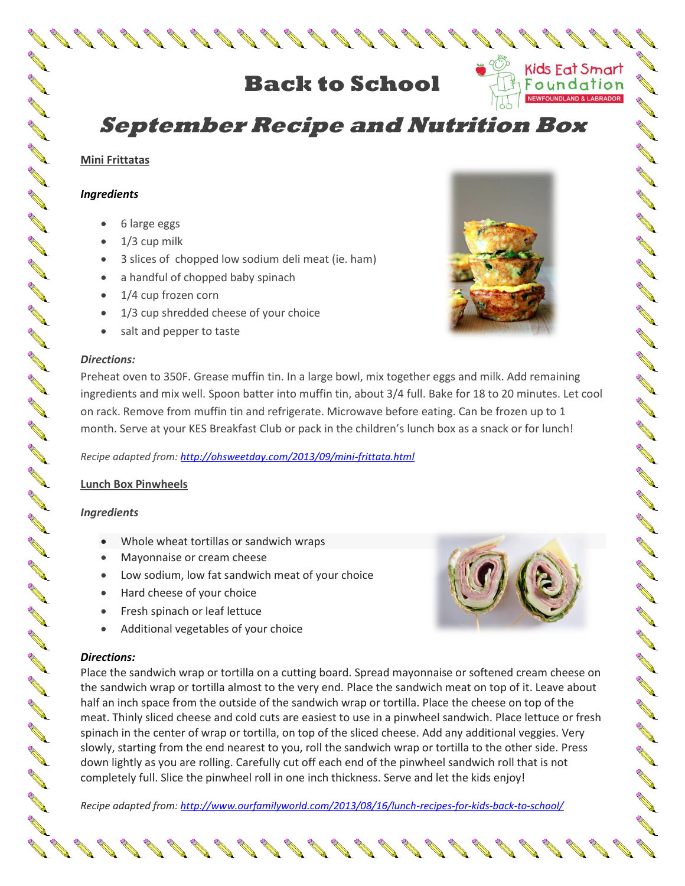# **Back to School**

# **September Recipe and Nutrition Box**

### **Mini Frittatas**

**Contract Contract Contract Contract Contract Contract Contract Contract Contract Contract Contract Contract Contract Contract Contract Contract Contract Contract Contract Contract Contract Contract Contract Contract Contr** 

**ARK** 

**AND** 

**ARK** 

**ANTI** 

A DI DI DI DI DI DI DI DI

**ARK** 

**AND ROW** 

**ARK** 

**AND** 

**ARK** 

**ARK** 

**ARK** 

A A

**ARK** 

**AND** 

#### *Ingredients*

- 6 large eggs
- $\bullet$  1/3 cup milk
- 3 slices of chopped low sodium deli meat (ie. ham)
- a handful of chopped baby spinach
- 1/4 cup frozen corn
- 1/3 cup shredded cheese of your choice
- salt and pepper to taste

#### *Directions:*

Preheat oven to 350F. Grease muffin tin. In a large bowl, mix together eggs and milk. Add remaining ingredients and mix well. Spoon batter into muffin tin, about 3/4 full. Bake for 18 to 20 minutes. Let cool on rack. Remove from muffin tin and refrigerate. Microwave before eating. Can be frozen up to 1 month. Serve at your KES Breakfast Club or pack in the children's lunch box as a snack or for lunch!

*Recipe adapted from[: http://ohsweetday.com/2013/09/mini-frittata.html](http://ohsweetday.com/2013/09/mini-frittata.html)*

### **Lunch Box Pinwheels**

### *Ingredients*

- Whole wheat tortillas or sandwich wraps
- Mayonnaise or cream cheese
- Low sodium, low fat sandwich meat of your choice
- Hard cheese of your choice
- **•** Fresh spinach or leaf lettuce
- Additional vegetables of your choice

### *Directions:*

Place the sandwich wrap or tortilla on a cutting board. Spread mayonnaise or softened cream cheese on the sandwich wrap or tortilla almost to the very end. Place the sandwich meat on top of it. Leave about half an inch space from the outside of the sandwich wrap or tortilla. Place the cheese on top of the meat. Thinly sliced cheese and cold cuts are easiest to use in a pinwheel sandwich. Place lettuce or fresh spinach in the center of wrap or tortilla, on top of the sliced cheese. Add any additional veggies. Very slowly, starting from the end nearest to you, roll the sandwich wrap or tortilla to the other side. Press down lightly as you are rolling. Carefully cut off each end of the pinwheel sandwich roll that is not completely full. Slice the pinwheel roll in one inch thickness. Serve and let the kids enjoy!

*Recipe adapted from[: http://www.ourfamilyworld.com/2013/08/16/lunch-recipes-for-kids-back-to-school/](http://www.ourfamilyworld.com/2013/08/16/lunch-recipes-for-kids-back-to-school/)*



AN A

No. of Canada

**AND** 

AV.

**AVE** 

**AVE** 

**AND** 

**AND** 

**AND** 

**AND** 

**AND** 

**RALL** 

**AND** 

**AND** 

**AND** 

**AND** 

A A

**AND** 

**AND** 

**AND** 

**AND** 

A A

**AVER** 

**AND** 

**ARA** 

A L

**AND** 

**RAL** 

**ANTI** 

**ANTI** 

**AVER** 

**ANTI** 

**AVE** 

**Contract of the Contract of the Contract of the Contract of The Contract of The Contract of The Contract of The Contract of The Contract of The Contract of The Contract of The Contract of The Contract of The Contract of T** 

Kids Eat Smart

Foundation

UNDLAND & LABRADOR